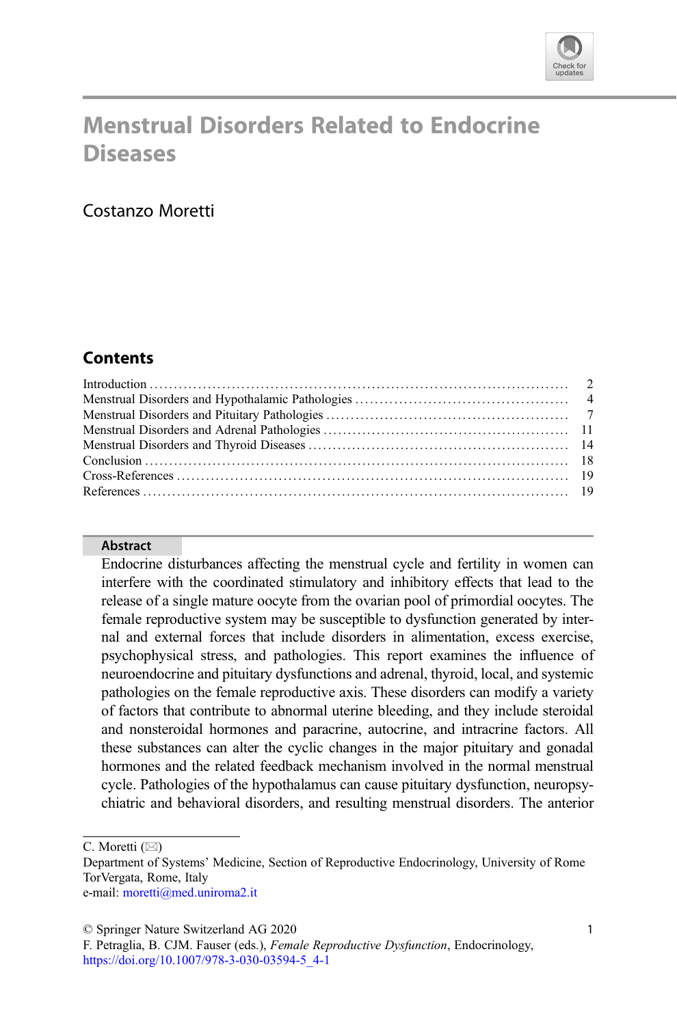

# Menstrual Disorders Related to Endocrine **Diseases**

# Costanzo Moretti

# **Contents**

#### Abstract

Endocrine disturbances affecting the menstrual cycle and fertility in women can interfere with the coordinated stimulatory and inhibitory effects that lead to the release of a single mature oocyte from the ovarian pool of primordial oocytes. The female reproductive system may be susceptible to dysfunction generated by internal and external forces that include disorders in alimentation, excess exercise, psychophysical stress, and pathologies. This report examines the influence of neuroendocrine and pituitary dysfunctions and adrenal, thyroid, local, and systemic pathologies on the female reproductive axis. These disorders can modify a variety of factors that contribute to abnormal uterine bleeding, and they include steroidal and nonsteroidal hormones and paracrine, autocrine, and intracrine factors. All these substances can alter the cyclic changes in the major pituitary and gonadal hormones and the related feedback mechanism involved in the normal menstrual cycle. Pathologies of the hypothalamus can cause pituitary dysfunction, neuropsychiatric and behavioral disorders, and resulting menstrual disorders. The anterior

C. Moretti  $(\boxtimes)$ 

Department of Systems' Medicine, Section of Reproductive Endocrinology, University of Rome TorVergata, Rome, Italy e-mail: [moretti@med.uniroma2.it](mailto:moretti@med.uniroma2.it)

<sup>©</sup> Springer Nature Switzerland AG 2020

F. Petraglia, B. CJM. Fauser (eds.), Female Reproductive Dysfunction, Endocrinology, [https://doi.org/10.1007/978-3-030-03594-5\\_4-1](https://doi.org/10.1007/978-3-030-03594-5_4-1)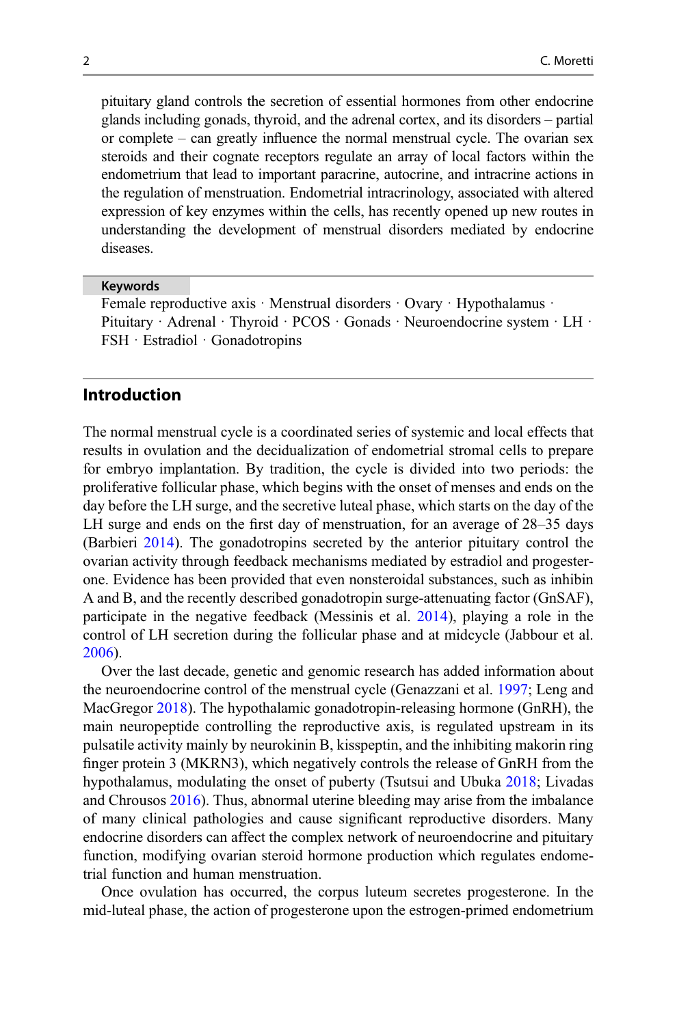pituitary gland controls the secretion of essential hormones from other endocrine glands including gonads, thyroid, and the adrenal cortex, and its disorders – partial or complete – can greatly influence the normal menstrual cycle. The ovarian sex steroids and their cognate receptors regulate an array of local factors within the endometrium that lead to important paracrine, autocrine, and intracrine actions in the regulation of menstruation. Endometrial intracrinology, associated with altered expression of key enzymes within the cells, has recently opened up new routes in understanding the development of menstrual disorders mediated by endocrine diseases.

#### Keywords

Female reproductive axis · Menstrual disorders · Ovary · Hypothalamus · Pituitary · Adrenal · Thyroid · PCOS · Gonads · Neuroendocrine system · LH · FSH · Estradiol · Gonadotropins

# Introduction

The normal menstrual cycle is a coordinated series of systemic and local effects that results in ovulation and the decidualization of endometrial stromal cells to prepare for embryo implantation. By tradition, the cycle is divided into two periods: the proliferative follicular phase, which begins with the onset of menses and ends on the day before the LH surge, and the secretive luteal phase, which starts on the day of the LH surge and ends on the first day of menstruation, for an average of 28–35 days (Barbieri [2014](#page-18-0)). The gonadotropins secreted by the anterior pituitary control the ovarian activity through feedback mechanisms mediated by estradiol and progesterone. Evidence has been provided that even nonsteroidal substances, such as inhibin A and B, and the recently described gonadotropin surge-attenuating factor (GnSAF), participate in the negative feedback (Messinis et al. [2014\)](#page-19-0), playing a role in the control of LH secretion during the follicular phase and at midcycle (Jabbour et al. [2006\)](#page-19-0).

Over the last decade, genetic and genomic research has added information about the neuroendocrine control of the menstrual cycle (Genazzani et al. [1997;](#page-19-0) Leng and MacGregor [2018\)](#page-19-0). The hypothalamic gonadotropin-releasing hormone (GnRH), the main neuropeptide controlling the reproductive axis, is regulated upstream in its pulsatile activity mainly by neurokinin B, kisspeptin, and the inhibiting makorin ring finger protein 3 (MKRN3), which negatively controls the release of GnRH from the hypothalamus, modulating the onset of puberty (Tsutsui and Ubuka [2018](#page-20-0); Livadas and Chrousos [2016](#page-19-0)). Thus, abnormal uterine bleeding may arise from the imbalance of many clinical pathologies and cause significant reproductive disorders. Many endocrine disorders can affect the complex network of neuroendocrine and pituitary function, modifying ovarian steroid hormone production which regulates endometrial function and human menstruation.

Once ovulation has occurred, the corpus luteum secretes progesterone. In the mid-luteal phase, the action of progesterone upon the estrogen-primed endometrium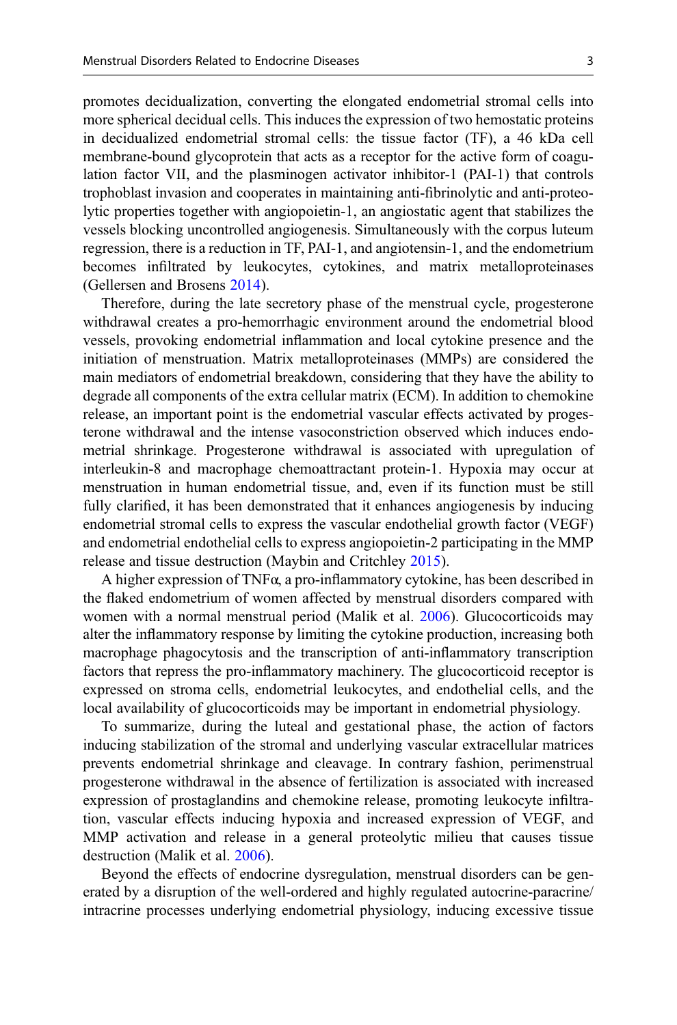promotes decidualization, converting the elongated endometrial stromal cells into more spherical decidual cells. This induces the expression of two hemostatic proteins in decidualized endometrial stromal cells: the tissue factor (TF), a 46 kDa cell membrane-bound glycoprotein that acts as a receptor for the active form of coagulation factor VII, and the plasminogen activator inhibitor-1 (PAI-1) that controls trophoblast invasion and cooperates in maintaining anti-fibrinolytic and anti-proteolytic properties together with angiopoietin-1, an angiostatic agent that stabilizes the vessels blocking uncontrolled angiogenesis. Simultaneously with the corpus luteum regression, there is a reduction in TF, PAI-1, and angiotensin-1, and the endometrium becomes infiltrated by leukocytes, cytokines, and matrix metalloproteinases (Gellersen and Brosens [2014](#page-19-0)).

Therefore, during the late secretory phase of the menstrual cycle, progesterone withdrawal creates a pro-hemorrhagic environment around the endometrial blood vessels, provoking endometrial inflammation and local cytokine presence and the initiation of menstruation. Matrix metalloproteinases (MMPs) are considered the main mediators of endometrial breakdown, considering that they have the ability to degrade all components of the extra cellular matrix (ECM). In addition to chemokine release, an important point is the endometrial vascular effects activated by progesterone withdrawal and the intense vasoconstriction observed which induces endometrial shrinkage. Progesterone withdrawal is associated with upregulation of interleukin-8 and macrophage chemoattractant protein-1. Hypoxia may occur at menstruation in human endometrial tissue, and, even if its function must be still fully clarified, it has been demonstrated that it enhances angiogenesis by inducing endometrial stromal cells to express the vascular endothelial growth factor (VEGF) and endometrial endothelial cells to express angiopoietin-2 participating in the MMP release and tissue destruction (Maybin and Critchley [2015](#page-19-0)).

A higher expression of TNFα, a pro-inflammatory cytokine, has been described in the flaked endometrium of women affected by menstrual disorders compared with women with a normal menstrual period (Malik et al. [2006\)](#page-19-0). Glucocorticoids may alter the inflammatory response by limiting the cytokine production, increasing both macrophage phagocytosis and the transcription of anti-inflammatory transcription factors that repress the pro-inflammatory machinery. The glucocorticoid receptor is expressed on stroma cells, endometrial leukocytes, and endothelial cells, and the local availability of glucocorticoids may be important in endometrial physiology.

To summarize, during the luteal and gestational phase, the action of factors inducing stabilization of the stromal and underlying vascular extracellular matrices prevents endometrial shrinkage and cleavage. In contrary fashion, perimenstrual progesterone withdrawal in the absence of fertilization is associated with increased expression of prostaglandins and chemokine release, promoting leukocyte infiltration, vascular effects inducing hypoxia and increased expression of VEGF, and MMP activation and release in a general proteolytic milieu that causes tissue destruction (Malik et al. [2006](#page-19-0)).

Beyond the effects of endocrine dysregulation, menstrual disorders can be generated by a disruption of the well-ordered and highly regulated autocrine-paracrine/ intracrine processes underlying endometrial physiology, inducing excessive tissue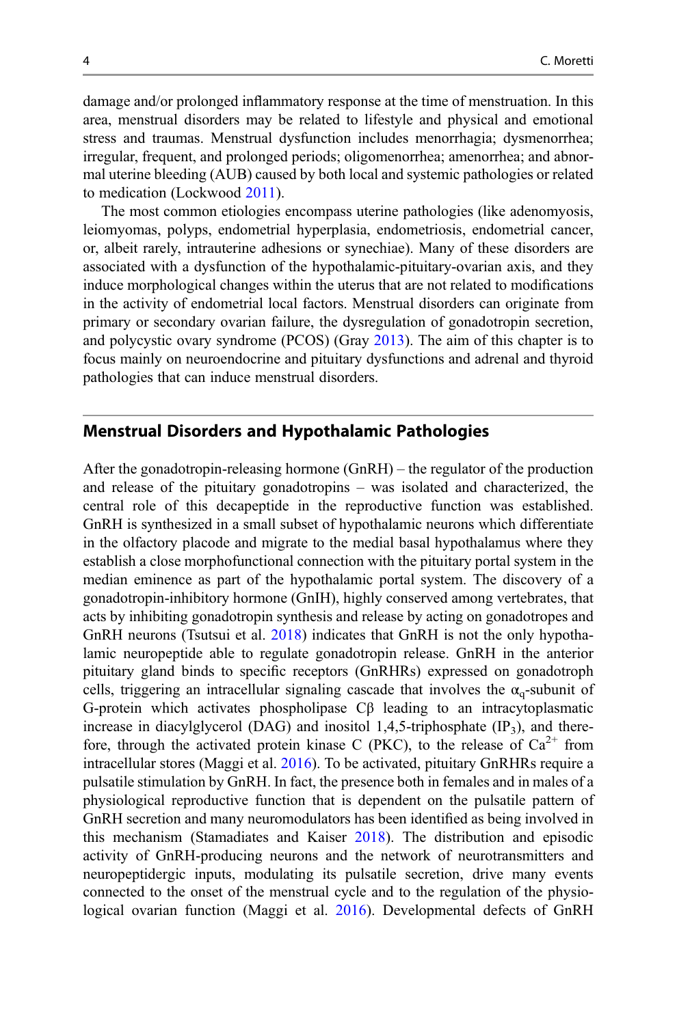damage and/or prolonged inflammatory response at the time of menstruation. In this area, menstrual disorders may be related to lifestyle and physical and emotional stress and traumas. Menstrual dysfunction includes menorrhagia; dysmenorrhea; irregular, frequent, and prolonged periods; oligomenorrhea; amenorrhea; and abnormal uterine bleeding (AUB) caused by both local and systemic pathologies or related to medication (Lockwood [2011](#page-19-0)).

The most common etiologies encompass uterine pathologies (like adenomyosis, leiomyomas, polyps, endometrial hyperplasia, endometriosis, endometrial cancer, or, albeit rarely, intrauterine adhesions or synechiae). Many of these disorders are associated with a dysfunction of the hypothalamic-pituitary-ovarian axis, and they induce morphological changes within the uterus that are not related to modifications in the activity of endometrial local factors. Menstrual disorders can originate from primary or secondary ovarian failure, the dysregulation of gonadotropin secretion, and polycystic ovary syndrome (PCOS) (Gray [2013\)](#page-19-0). The aim of this chapter is to focus mainly on neuroendocrine and pituitary dysfunctions and adrenal and thyroid pathologies that can induce menstrual disorders.

# Menstrual Disorders and Hypothalamic Pathologies

After the gonadotropin-releasing hormone (GnRH) – the regulator of the production and release of the pituitary gonadotropins – was isolated and characterized, the central role of this decapeptide in the reproductive function was established. GnRH is synthesized in a small subset of hypothalamic neurons which differentiate in the olfactory placode and migrate to the medial basal hypothalamus where they establish a close morphofunctional connection with the pituitary portal system in the median eminence as part of the hypothalamic portal system. The discovery of a gonadotropin-inhibitory hormone (GnIH), highly conserved among vertebrates, that acts by inhibiting gonadotropin synthesis and release by acting on gonadotropes and GnRH neurons (Tsutsui et al. [2018\)](#page-20-0) indicates that GnRH is not the only hypothalamic neuropeptide able to regulate gonadotropin release. GnRH in the anterior pituitary gland binds to specific receptors (GnRHRs) expressed on gonadotroph cells, triggering an intracellular signaling cascade that involves the  $\alpha_{q}$ -subunit of G-protein which activates phospholipase Cβ leading to an intracytoplasmatic increase in diacylglycerol (DAG) and inositol 1,4,5-triphosphate  $(\text{IP}_3)$ , and therefore, through the activated protein kinase C (PKC), to the release of  $Ca^{2+}$  from intracellular stores (Maggi et al. [2016](#page-19-0)). To be activated, pituitary GnRHRs require a pulsatile stimulation by GnRH. In fact, the presence both in females and in males of a physiological reproductive function that is dependent on the pulsatile pattern of GnRH secretion and many neuromodulators has been identified as being involved in this mechanism (Stamadiates and Kaiser [2018](#page-20-0)). The distribution and episodic activity of GnRH-producing neurons and the network of neurotransmitters and neuropeptidergic inputs, modulating its pulsatile secretion, drive many events connected to the onset of the menstrual cycle and to the regulation of the physio-logical ovarian function (Maggi et al. [2016\)](#page-19-0). Developmental defects of GnRH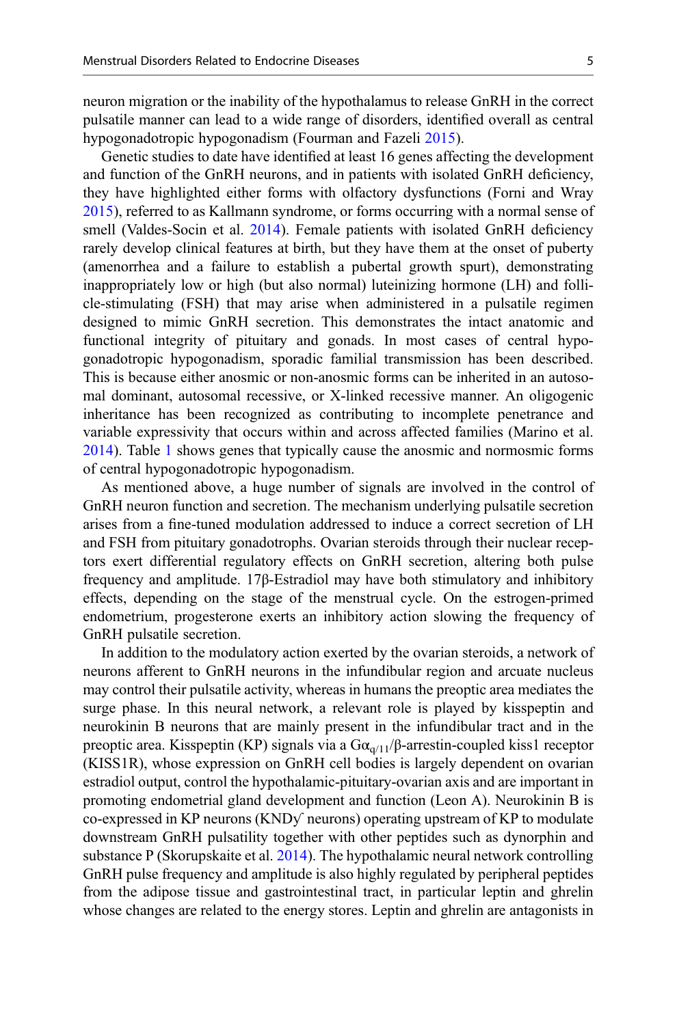neuron migration or the inability of the hypothalamus to release GnRH in the correct pulsatile manner can lead to a wide range of disorders, identified overall as central hypogonadotropic hypogonadism (Fourman and Fazeli [2015\)](#page-19-0).

Genetic studies to date have identified at least 16 genes affecting the development and function of the GnRH neurons, and in patients with isolated GnRH deficiency, they have highlighted either forms with olfactory dysfunctions (Forni and Wray [2015\)](#page-19-0), referred to as Kallmann syndrome, or forms occurring with a normal sense of smell (Valdes-Socin et al. [2014](#page-20-0)). Female patients with isolated GnRH deficiency rarely develop clinical features at birth, but they have them at the onset of puberty (amenorrhea and a failure to establish a pubertal growth spurt), demonstrating inappropriately low or high (but also normal) luteinizing hormone (LH) and follicle-stimulating (FSH) that may arise when administered in a pulsatile regimen designed to mimic GnRH secretion. This demonstrates the intact anatomic and functional integrity of pituitary and gonads. In most cases of central hypogonadotropic hypogonadism, sporadic familial transmission has been described. This is because either anosmic or non-anosmic forms can be inherited in an autosomal dominant, autosomal recessive, or X-linked recessive manner. An oligogenic inheritance has been recognized as contributing to incomplete penetrance and variable expressivity that occurs within and across affected families (Marino et al. [2014\)](#page-19-0). Table [1](#page-5-0) shows genes that typically cause the anosmic and normosmic forms of central hypogonadotropic hypogonadism.

As mentioned above, a huge number of signals are involved in the control of GnRH neuron function and secretion. The mechanism underlying pulsatile secretion arises from a fine-tuned modulation addressed to induce a correct secretion of LH and FSH from pituitary gonadotrophs. Ovarian steroids through their nuclear receptors exert differential regulatory effects on GnRH secretion, altering both pulse frequency and amplitude. 17β-Estradiol may have both stimulatory and inhibitory effects, depending on the stage of the menstrual cycle. On the estrogen-primed endometrium, progesterone exerts an inhibitory action slowing the frequency of GnRH pulsatile secretion.

In addition to the modulatory action exerted by the ovarian steroids, a network of neurons afferent to GnRH neurons in the infundibular region and arcuate nucleus may control their pulsatile activity, whereas in humans the preoptic area mediates the surge phase. In this neural network, a relevant role is played by kisspeptin and neurokinin B neurons that are mainly present in the infundibular tract and in the preoptic area. Kisspeptin (KP) signals via a  $G\alpha_{q/1}/\beta$ -arrestin-coupled kiss1 receptor (KISS1R), whose expression on GnRH cell bodies is largely dependent on ovarian estradiol output, control the hypothalamic-pituitary-ovarian axis and are important in promoting endometrial gland development and function (Leon A). Neurokinin B is co-expressed in KP neurons (KNDƴ neurons) operating upstream of KP to modulate downstream GnRH pulsatility together with other peptides such as dynorphin and substance P (Skorupskaite et al. [2014\)](#page-20-0). The hypothalamic neural network controlling GnRH pulse frequency and amplitude is also highly regulated by peripheral peptides from the adipose tissue and gastrointestinal tract, in particular leptin and ghrelin whose changes are related to the energy stores. Leptin and ghrelin are antagonists in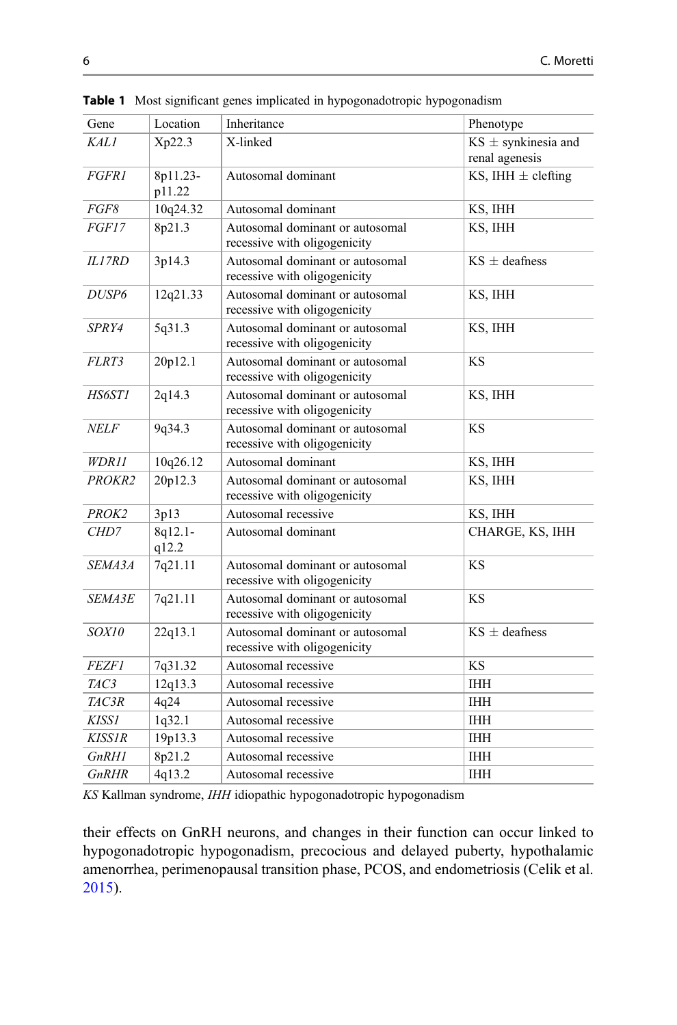| Gene          | Location           | Inheritance                                                     | Phenotype                                 |
|---------------|--------------------|-----------------------------------------------------------------|-------------------------------------------|
| <b>KAL1</b>   | Xp22.3             | X-linked                                                        | $KS \pm$ synkinesia and<br>renal agenesis |
| <i>FGFR1</i>  | 8p11.23-<br>p11.22 | Autosomal dominant                                              | KS, IHH $\pm$ clefting                    |
| FGF8          | 10q24.32           | Autosomal dominant                                              | KS, IHH                                   |
| <i>FGF17</i>  | 8p21.3             | Autosomal dominant or autosomal<br>recessive with oligogenicity | KS, IHH                                   |
| IL17RD        | 3p14.3             | Autosomal dominant or autosomal<br>recessive with oligogenicity | $KS \pm deafness$                         |
| DUSP6         | 12q21.33           | Autosomal dominant or autosomal<br>recessive with oligogenicity | KS, IHH                                   |
| SPRY4         | 5q31.3             | Autosomal dominant or autosomal<br>recessive with oligogenicity | KS, IHH                                   |
| <i>FLRT3</i>  | 20p12.1            | Autosomal dominant or autosomal<br>recessive with oligogenicity | KS                                        |
| <b>HS6ST1</b> | 2q14.3             | Autosomal dominant or autosomal<br>recessive with oligogenicity | KS, IHH                                   |
| <b>NELF</b>   | 9q34.3             | Autosomal dominant or autosomal<br>recessive with oligogenicity | ΚS                                        |
| WDR11         | 10q26.12           | Autosomal dominant                                              | KS, IHH                                   |
| PROKR2        | 20p12.3            | Autosomal dominant or autosomal<br>recessive with oligogenicity | KS, IHH                                   |
| PROK2         | 3p13               | Autosomal recessive                                             | KS, IHH                                   |
| CHD7          | 8q12.1-<br>q12.2   | Autosomal dominant                                              | CHARGE, KS, IHH                           |
| <i>SEMA3A</i> | 7q21.11            | Autosomal dominant or autosomal<br>recessive with oligogenicity | ΚS                                        |
| <i>SEMA3E</i> | 7q21.11            | Autosomal dominant or autosomal<br>recessive with oligogenicity | ΚS                                        |
| SOX10         | 22q13.1            | Autosomal dominant or autosomal<br>recessive with oligogenicity | $KS \pm deafness$                         |
| <i>FEZF1</i>  | 7q31.32            | Autosomal recessive                                             | KS                                        |
| <i>TAC3</i>   | 12q13.3            | Autosomal recessive                                             | IHH                                       |
| <i>TAC3R</i>  | 4q24               | Autosomal recessive                                             | <b>IHH</b>                                |
| KISS1         | 1q32.1             | Autosomal recessive                                             | IHH                                       |
| KISS1R        | 19p13.3            | Autosomal recessive                                             | IHH                                       |
| <i>GnRH1</i>  | 8p21.2             | Autosomal recessive                                             | IHH                                       |
| GnRHR         | 4q13.2             | Autosomal recessive                                             | <b>IHH</b>                                |

<span id="page-5-0"></span>Table 1 Most significant genes implicated in hypogonadotropic hypogonadism

KS Kallman syndrome, IHH idiopathic hypogonadotropic hypogonadism

their effects on GnRH neurons, and changes in their function can occur linked to hypogonadotropic hypogonadism, precocious and delayed puberty, hypothalamic amenorrhea, perimenopausal transition phase, PCOS, and endometriosis (Celik et al. [2015\)](#page-18-0).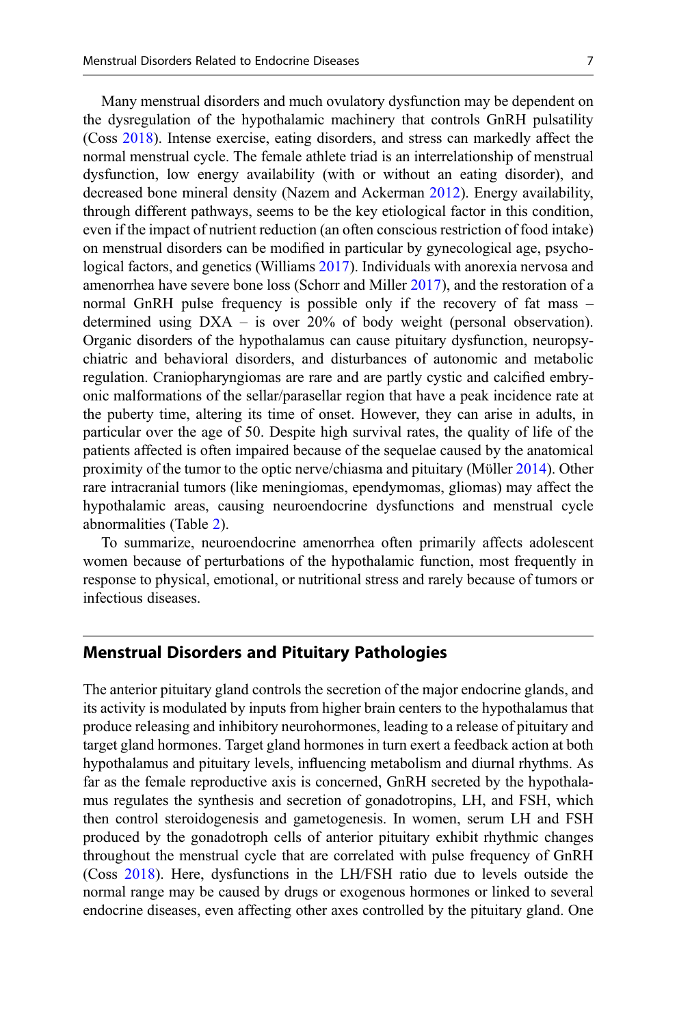Many menstrual disorders and much ovulatory dysfunction may be dependent on the dysregulation of the hypothalamic machinery that controls GnRH pulsatility (Coss [2018\)](#page-19-0). Intense exercise, eating disorders, and stress can markedly affect the normal menstrual cycle. The female athlete triad is an interrelationship of menstrual dysfunction, low energy availability (with or without an eating disorder), and decreased bone mineral density (Nazem and Ackerman [2012\)](#page-20-0). Energy availability, through different pathways, seems to be the key etiological factor in this condition, even if the impact of nutrient reduction (an often conscious restriction of food intake) on menstrual disorders can be modified in particular by gynecological age, psychological factors, and genetics (Williams [2017](#page-20-0)). Individuals with anorexia nervosa and amenorrhea have severe bone loss (Schorr and Miller [2017\)](#page-20-0), and the restoration of a normal GnRH pulse frequency is possible only if the recovery of fat mass – determined using DXA – is over 20% of body weight (personal observation). Organic disorders of the hypothalamus can cause pituitary dysfunction, neuropsychiatric and behavioral disorders, and disturbances of autonomic and metabolic regulation. Craniopharyngiomas are rare and are partly cystic and calcified embryonic malformations of the sellar/parasellar region that have a peak incidence rate at the puberty time, altering its time of onset. However, they can arise in adults, in particular over the age of 50. Despite high survival rates, the quality of life of the patients affected is often impaired because of the sequelae caused by the anatomical proximity of the tumor to the optic nerve/chiasma and pituitary (Mϋller [2014](#page-20-0)). Other rare intracranial tumors (like meningiomas, ependymomas, gliomas) may affect the hypothalamic areas, causing neuroendocrine dysfunctions and menstrual cycle abnormalities (Table [2](#page-7-0)).

To summarize, neuroendocrine amenorrhea often primarily affects adolescent women because of perturbations of the hypothalamic function, most frequently in response to physical, emotional, or nutritional stress and rarely because of tumors or infectious diseases.

# Menstrual Disorders and Pituitary Pathologies

The anterior pituitary gland controls the secretion of the major endocrine glands, and its activity is modulated by inputs from higher brain centers to the hypothalamus that produce releasing and inhibitory neurohormones, leading to a release of pituitary and target gland hormones. Target gland hormones in turn exert a feedback action at both hypothalamus and pituitary levels, influencing metabolism and diurnal rhythms. As far as the female reproductive axis is concerned, GnRH secreted by the hypothalamus regulates the synthesis and secretion of gonadotropins, LH, and FSH, which then control steroidogenesis and gametogenesis. In women, serum LH and FSH produced by the gonadotroph cells of anterior pituitary exhibit rhythmic changes throughout the menstrual cycle that are correlated with pulse frequency of GnRH (Coss [2018\)](#page-19-0). Here, dysfunctions in the LH/FSH ratio due to levels outside the normal range may be caused by drugs or exogenous hormones or linked to several endocrine diseases, even affecting other axes controlled by the pituitary gland. One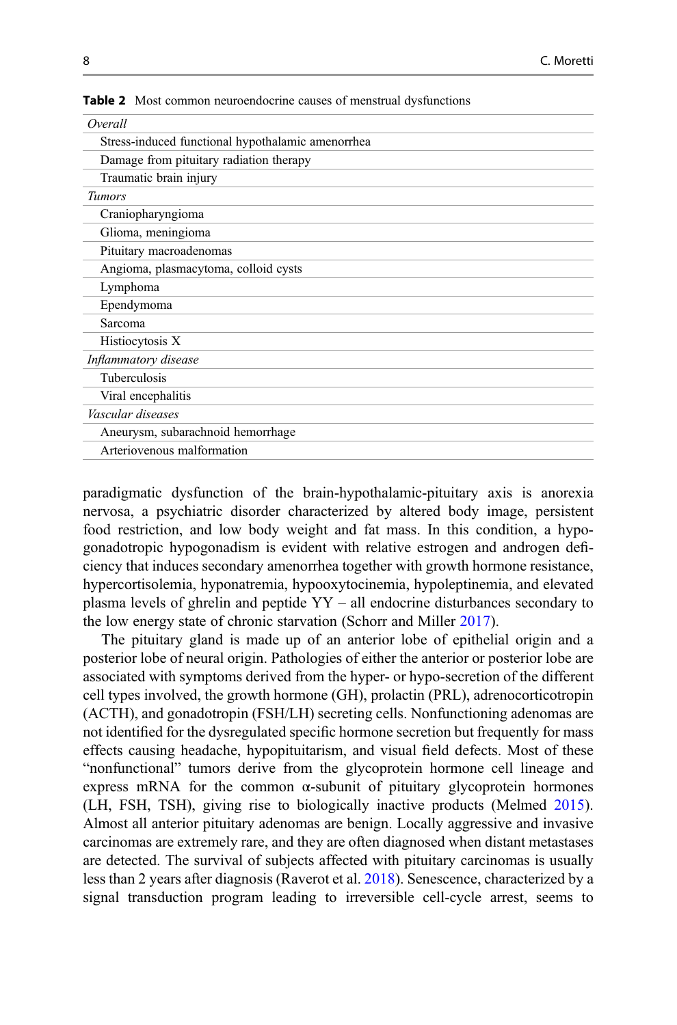| Overall                                           |
|---------------------------------------------------|
| Stress-induced functional hypothalamic amenorrhea |
| Damage from pituitary radiation therapy           |
| Traumatic brain injury                            |
| <b>Tumors</b>                                     |
| Craniopharyngioma                                 |
| Glioma, meningioma                                |
| Pituitary macroadenomas                           |
| Angioma, plasmacytoma, colloid cysts              |
| Lymphoma                                          |
| Ependymoma                                        |
| Sarcoma                                           |
| Histiocytosis X                                   |
| Inflammatory disease                              |
| Tuberculosis                                      |
| Viral encephalitis                                |
| Vascular diseases                                 |
| Aneurysm, subarachnoid hemorrhage                 |
| Arteriovenous malformation                        |
|                                                   |

<span id="page-7-0"></span>Table 2 Most common neuroendocrine causes of menstrual dysfunctions

paradigmatic dysfunction of the brain-hypothalamic-pituitary axis is anorexia nervosa, a psychiatric disorder characterized by altered body image, persistent food restriction, and low body weight and fat mass. In this condition, a hypogonadotropic hypogonadism is evident with relative estrogen and androgen deficiency that induces secondary amenorrhea together with growth hormone resistance, hypercortisolemia, hyponatremia, hypooxytocinemia, hypoleptinemia, and elevated plasma levels of ghrelin and peptide YY – all endocrine disturbances secondary to the low energy state of chronic starvation (Schorr and Miller [2017\)](#page-20-0).

The pituitary gland is made up of an anterior lobe of epithelial origin and a posterior lobe of neural origin. Pathologies of either the anterior or posterior lobe are associated with symptoms derived from the hyper- or hypo-secretion of the different cell types involved, the growth hormone (GH), prolactin (PRL), adrenocorticotropin (ACTH), and gonadotropin (FSH/LH) secreting cells. Nonfunctioning adenomas are not identified for the dysregulated specific hormone secretion but frequently for mass effects causing headache, hypopituitarism, and visual field defects. Most of these "nonfunctional" tumors derive from the glycoprotein hormone cell lineage and express mRNA for the common  $\alpha$ -subunit of pituitary glycoprotein hormones (LH, FSH, TSH), giving rise to biologically inactive products (Melmed [2015\)](#page-19-0). Almost all anterior pituitary adenomas are benign. Locally aggressive and invasive carcinomas are extremely rare, and they are often diagnosed when distant metastases are detected. The survival of subjects affected with pituitary carcinomas is usually less than 2 years after diagnosis (Raverot et al. [2018\)](#page-20-0). Senescence, characterized by a signal transduction program leading to irreversible cell-cycle arrest, seems to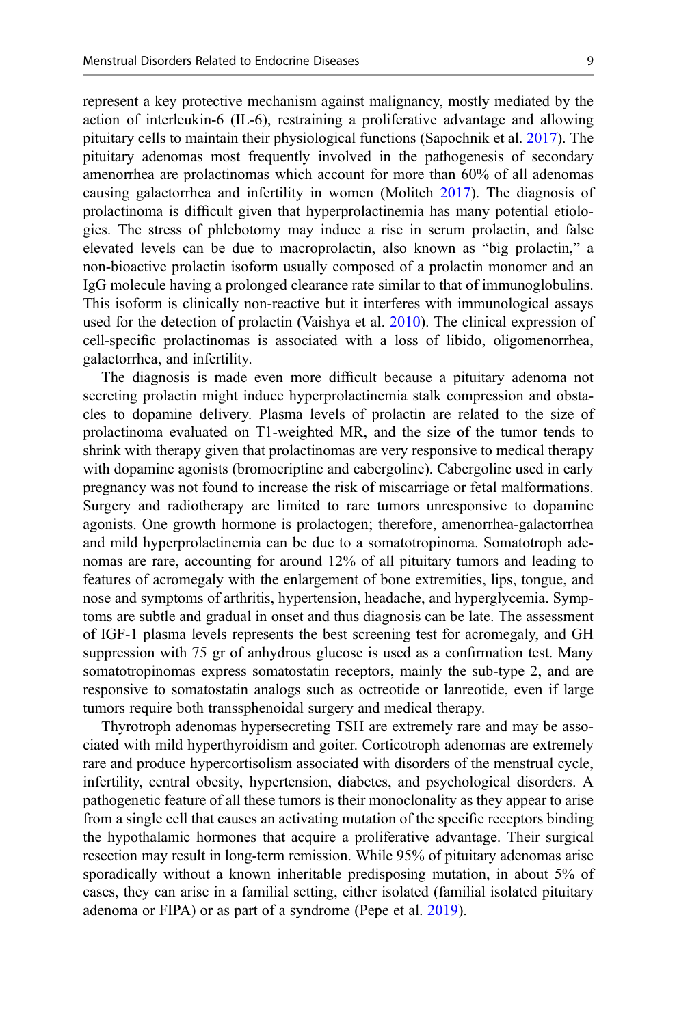represent a key protective mechanism against malignancy, mostly mediated by the action of interleukin-6 (IL-6), restraining a proliferative advantage and allowing pituitary cells to maintain their physiological functions (Sapochnik et al. [2017\)](#page-20-0). The pituitary adenomas most frequently involved in the pathogenesis of secondary amenorrhea are prolactinomas which account for more than 60% of all adenomas causing galactorrhea and infertility in women (Molitch [2017\)](#page-20-0). The diagnosis of prolactinoma is difficult given that hyperprolactinemia has many potential etiologies. The stress of phlebotomy may induce a rise in serum prolactin, and false elevated levels can be due to macroprolactin, also known as "big prolactin," a non-bioactive prolactin isoform usually composed of a prolactin monomer and an IgG molecule having a prolonged clearance rate similar to that of immunoglobulins. This isoform is clinically non-reactive but it interferes with immunological assays used for the detection of prolactin (Vaishya et al. [2010](#page-20-0)). The clinical expression of cell-specific prolactinomas is associated with a loss of libido, oligomenorrhea, galactorrhea, and infertility.

The diagnosis is made even more difficult because a pituitary adenoma not secreting prolactin might induce hyperprolactinemia stalk compression and obstacles to dopamine delivery. Plasma levels of prolactin are related to the size of prolactinoma evaluated on T1-weighted MR, and the size of the tumor tends to shrink with therapy given that prolactinomas are very responsive to medical therapy with dopamine agonists (bromocriptine and cabergoline). Cabergoline used in early pregnancy was not found to increase the risk of miscarriage or fetal malformations. Surgery and radiotherapy are limited to rare tumors unresponsive to dopamine agonists. One growth hormone is prolactogen; therefore, amenorrhea-galactorrhea and mild hyperprolactinemia can be due to a somatotropinoma. Somatotroph adenomas are rare, accounting for around 12% of all pituitary tumors and leading to features of acromegaly with the enlargement of bone extremities, lips, tongue, and nose and symptoms of arthritis, hypertension, headache, and hyperglycemia. Symptoms are subtle and gradual in onset and thus diagnosis can be late. The assessment of IGF-1 plasma levels represents the best screening test for acromegaly, and GH suppression with 75 gr of anhydrous glucose is used as a confirmation test. Many somatotropinomas express somatostatin receptors, mainly the sub-type 2, and are responsive to somatostatin analogs such as octreotide or lanreotide, even if large tumors require both transsphenoidal surgery and medical therapy.

Thyrotroph adenomas hypersecreting TSH are extremely rare and may be associated with mild hyperthyroidism and goiter. Corticotroph adenomas are extremely rare and produce hypercortisolism associated with disorders of the menstrual cycle, infertility, central obesity, hypertension, diabetes, and psychological disorders. A pathogenetic feature of all these tumors is their monoclonality as they appear to arise from a single cell that causes an activating mutation of the specific receptors binding the hypothalamic hormones that acquire a proliferative advantage. Their surgical resection may result in long-term remission. While 95% of pituitary adenomas arise sporadically without a known inheritable predisposing mutation, in about 5% of cases, they can arise in a familial setting, either isolated (familial isolated pituitary adenoma or FIPA) or as part of a syndrome (Pepe et al. [2019\)](#page-20-0).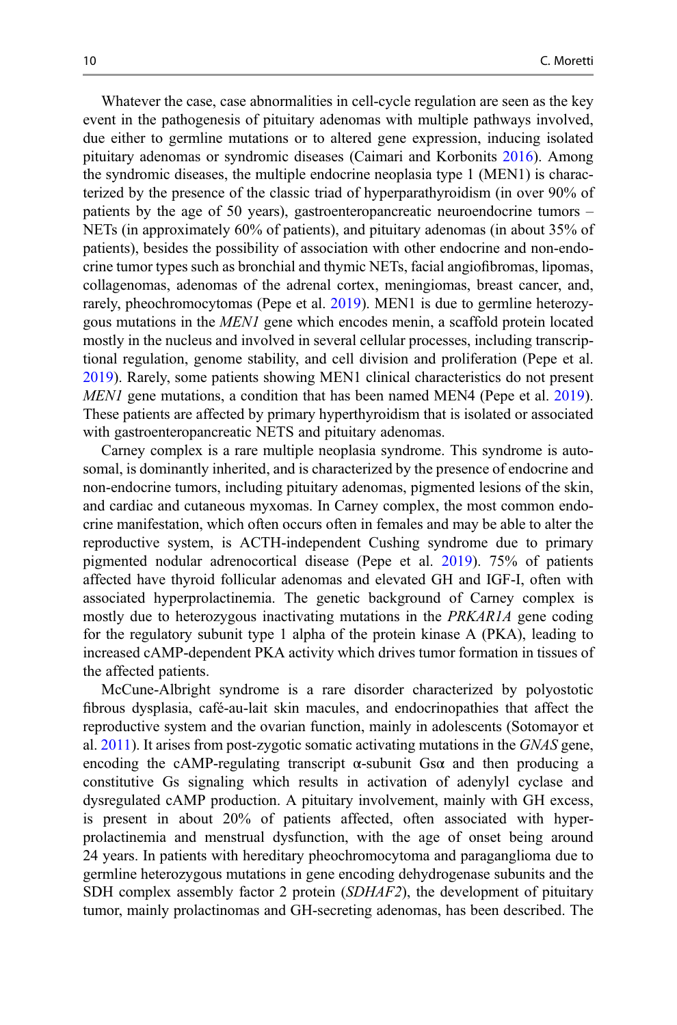Whatever the case, case abnormalities in cell-cycle regulation are seen as the key event in the pathogenesis of pituitary adenomas with multiple pathways involved, due either to germline mutations or to altered gene expression, inducing isolated pituitary adenomas or syndromic diseases (Caimari and Korbonits [2016](#page-18-0)). Among the syndromic diseases, the multiple endocrine neoplasia type 1 (MEN1) is characterized by the presence of the classic triad of hyperparathyroidism (in over 90% of patients by the age of 50 years), gastroenteropancreatic neuroendocrine tumors – NETs (in approximately 60% of patients), and pituitary adenomas (in about 35% of patients), besides the possibility of association with other endocrine and non-endocrine tumor types such as bronchial and thymic NETs, facial angiofibromas, lipomas, collagenomas, adenomas of the adrenal cortex, meningiomas, breast cancer, and, rarely, pheochromocytomas (Pepe et al. [2019\)](#page-20-0). MEN1 is due to germline heterozygous mutations in the MEN1 gene which encodes menin, a scaffold protein located mostly in the nucleus and involved in several cellular processes, including transcriptional regulation, genome stability, and cell division and proliferation (Pepe et al. [2019\)](#page-20-0). Rarely, some patients showing MEN1 clinical characteristics do not present MEN1 gene mutations, a condition that has been named MEN4 (Pepe et al. [2019\)](#page-20-0). These patients are affected by primary hyperthyroidism that is isolated or associated with gastroenteropancreatic NETS and pituitary adenomas.

Carney complex is a rare multiple neoplasia syndrome. This syndrome is autosomal, is dominantly inherited, and is characterized by the presence of endocrine and non-endocrine tumors, including pituitary adenomas, pigmented lesions of the skin, and cardiac and cutaneous myxomas. In Carney complex, the most common endocrine manifestation, which often occurs often in females and may be able to alter the reproductive system, is ACTH-independent Cushing syndrome due to primary pigmented nodular adrenocortical disease (Pepe et al. [2019\)](#page-20-0). 75% of patients affected have thyroid follicular adenomas and elevated GH and IGF-I, often with associated hyperprolactinemia. The genetic background of Carney complex is mostly due to heterozygous inactivating mutations in the *PRKAR1A* gene coding for the regulatory subunit type 1 alpha of the protein kinase A (PKA), leading to increased cAMP-dependent PKA activity which drives tumor formation in tissues of the affected patients.

McCune-Albright syndrome is a rare disorder characterized by polyostotic fibrous dysplasia, café-au-lait skin macules, and endocrinopathies that affect the reproductive system and the ovarian function, mainly in adolescents (Sotomayor et al. [2011](#page-20-0)). It arises from post-zygotic somatic activating mutations in the GNAS gene, encoding the cAMP-regulating transcript  $\alpha$ -subunit Gs $\alpha$  and then producing a constitutive Gs signaling which results in activation of adenylyl cyclase and dysregulated cAMP production. A pituitary involvement, mainly with GH excess, is present in about 20% of patients affected, often associated with hyperprolactinemia and menstrual dysfunction, with the age of onset being around 24 years. In patients with hereditary pheochromocytoma and paraganglioma due to germline heterozygous mutations in gene encoding dehydrogenase subunits and the SDH complex assembly factor 2 protein (SDHAF2), the development of pituitary tumor, mainly prolactinomas and GH-secreting adenomas, has been described. The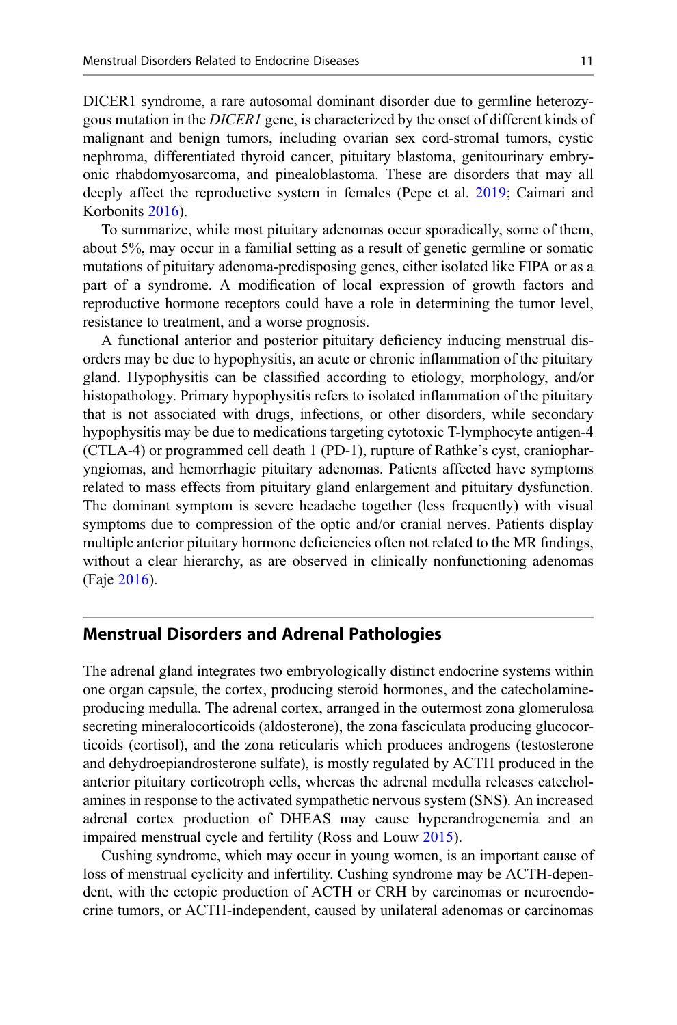DICER1 syndrome, a rare autosomal dominant disorder due to germline heterozygous mutation in the DICER1 gene, is characterized by the onset of different kinds of malignant and benign tumors, including ovarian sex cord-stromal tumors, cystic nephroma, differentiated thyroid cancer, pituitary blastoma, genitourinary embryonic rhabdomyosarcoma, and pinealoblastoma. These are disorders that may all deeply affect the reproductive system in females (Pepe et al. [2019;](#page-20-0) Caimari and Korbonits [2016](#page-18-0)).

To summarize, while most pituitary adenomas occur sporadically, some of them, about 5%, may occur in a familial setting as a result of genetic germline or somatic mutations of pituitary adenoma-predisposing genes, either isolated like FIPA or as a part of a syndrome. A modification of local expression of growth factors and reproductive hormone receptors could have a role in determining the tumor level, resistance to treatment, and a worse prognosis.

A functional anterior and posterior pituitary deficiency inducing menstrual disorders may be due to hypophysitis, an acute or chronic inflammation of the pituitary gland. Hypophysitis can be classified according to etiology, morphology, and/or histopathology. Primary hypophysitis refers to isolated inflammation of the pituitary that is not associated with drugs, infections, or other disorders, while secondary hypophysitis may be due to medications targeting cytotoxic T-lymphocyte antigen-4 (CTLA-4) or programmed cell death 1 (PD-1), rupture of Rathke's cyst, craniopharyngiomas, and hemorrhagic pituitary adenomas. Patients affected have symptoms related to mass effects from pituitary gland enlargement and pituitary dysfunction. The dominant symptom is severe headache together (less frequently) with visual symptoms due to compression of the optic and/or cranial nerves. Patients display multiple anterior pituitary hormone deficiencies often not related to the MR findings, without a clear hierarchy, as are observed in clinically nonfunctioning adenomas (Faje [2016\)](#page-19-0).

## Menstrual Disorders and Adrenal Pathologies

The adrenal gland integrates two embryologically distinct endocrine systems within one organ capsule, the cortex, producing steroid hormones, and the catecholamineproducing medulla. The adrenal cortex, arranged in the outermost zona glomerulosa secreting mineralocorticoids (aldosterone), the zona fasciculata producing glucocorticoids (cortisol), and the zona reticularis which produces androgens (testosterone and dehydroepiandrosterone sulfate), is mostly regulated by ACTH produced in the anterior pituitary corticotroph cells, whereas the adrenal medulla releases catecholamines in response to the activated sympathetic nervous system (SNS). An increased adrenal cortex production of DHEAS may cause hyperandrogenemia and an impaired menstrual cycle and fertility (Ross and Louw [2015\)](#page-20-0).

Cushing syndrome, which may occur in young women, is an important cause of loss of menstrual cyclicity and infertility. Cushing syndrome may be ACTH-dependent, with the ectopic production of ACTH or CRH by carcinomas or neuroendocrine tumors, or ACTH-independent, caused by unilateral adenomas or carcinomas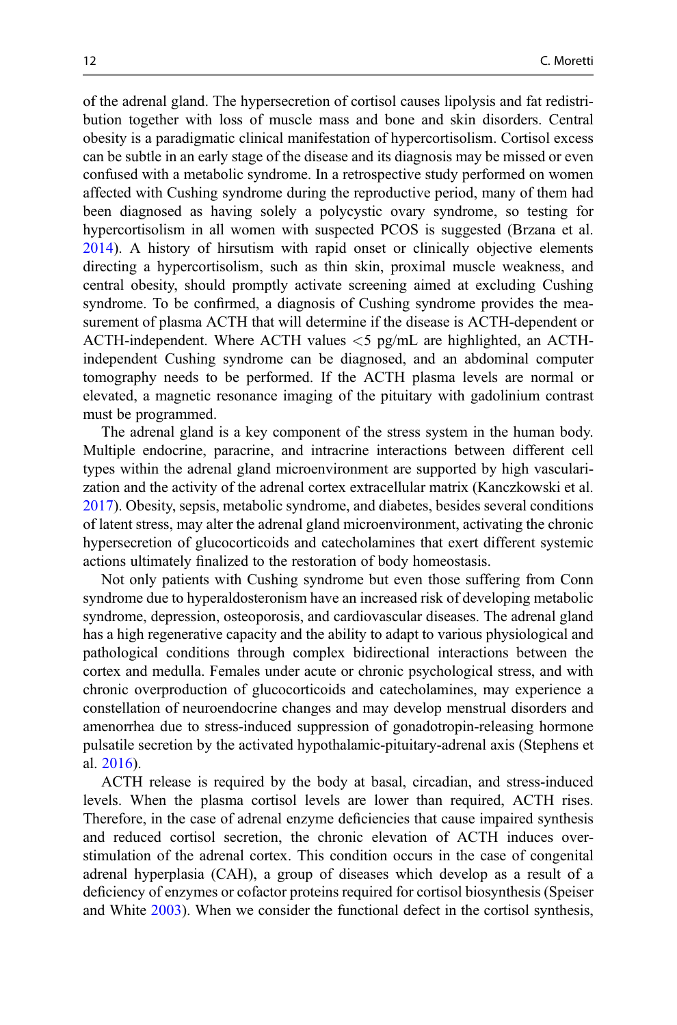of the adrenal gland. The hypersecretion of cortisol causes lipolysis and fat redistribution together with loss of muscle mass and bone and skin disorders. Central obesity is a paradigmatic clinical manifestation of hypercortisolism. Cortisol excess can be subtle in an early stage of the disease and its diagnosis may be missed or even confused with a metabolic syndrome. In a retrospective study performed on women affected with Cushing syndrome during the reproductive period, many of them had been diagnosed as having solely a polycystic ovary syndrome, so testing for hypercortisolism in all women with suspected PCOS is suggested (Brzana et al. [2014\)](#page-18-0). A history of hirsutism with rapid onset or clinically objective elements directing a hypercortisolism, such as thin skin, proximal muscle weakness, and central obesity, should promptly activate screening aimed at excluding Cushing syndrome. To be confirmed, a diagnosis of Cushing syndrome provides the measurement of plasma ACTH that will determine if the disease is ACTH-dependent or ACTH-independent. Where ACTH values <5 pg/mL are highlighted, an ACTHindependent Cushing syndrome can be diagnosed, and an abdominal computer tomography needs to be performed. If the ACTH plasma levels are normal or elevated, a magnetic resonance imaging of the pituitary with gadolinium contrast must be programmed.

The adrenal gland is a key component of the stress system in the human body. Multiple endocrine, paracrine, and intracrine interactions between different cell types within the adrenal gland microenvironment are supported by high vascularization and the activity of the adrenal cortex extracellular matrix (Kanczkowski et al. [2017\)](#page-19-0). Obesity, sepsis, metabolic syndrome, and diabetes, besides several conditions of latent stress, may alter the adrenal gland microenvironment, activating the chronic hypersecretion of glucocorticoids and catecholamines that exert different systemic actions ultimately finalized to the restoration of body homeostasis.

Not only patients with Cushing syndrome but even those suffering from Conn syndrome due to hyperaldosteronism have an increased risk of developing metabolic syndrome, depression, osteoporosis, and cardiovascular diseases. The adrenal gland has a high regenerative capacity and the ability to adapt to various physiological and pathological conditions through complex bidirectional interactions between the cortex and medulla. Females under acute or chronic psychological stress, and with chronic overproduction of glucocorticoids and catecholamines, may experience a constellation of neuroendocrine changes and may develop menstrual disorders and amenorrhea due to stress-induced suppression of gonadotropin-releasing hormone pulsatile secretion by the activated hypothalamic-pituitary-adrenal axis (Stephens et al. [2016](#page-20-0)).

ACTH release is required by the body at basal, circadian, and stress-induced levels. When the plasma cortisol levels are lower than required, ACTH rises. Therefore, in the case of adrenal enzyme deficiencies that cause impaired synthesis and reduced cortisol secretion, the chronic elevation of ACTH induces overstimulation of the adrenal cortex. This condition occurs in the case of congenital adrenal hyperplasia (CAH), a group of diseases which develop as a result of a deficiency of enzymes or cofactor proteins required for cortisol biosynthesis (Speiser and White [2003](#page-20-0)). When we consider the functional defect in the cortisol synthesis,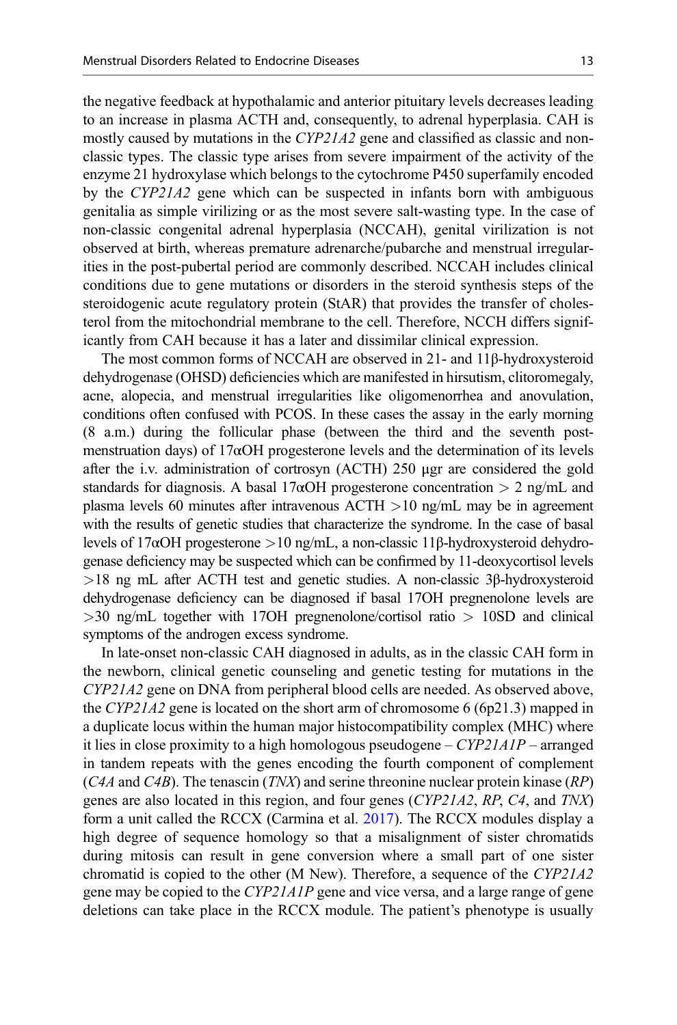the negative feedback at hypothalamic and anterior pituitary levels decreases leading to an increase in plasma ACTH and, consequently, to adrenal hyperplasia. CAH is mostly caused by mutations in the CYP21A2 gene and classified as classic and nonclassic types. The classic type arises from severe impairment of the activity of the enzyme 21 hydroxylase which belongs to the cytochrome P450 superfamily encoded by the CYP21A2 gene which can be suspected in infants born with ambiguous genitalia as simple virilizing or as the most severe salt-wasting type. In the case of non-classic congenital adrenal hyperplasia (NCCAH), genital virilization is not observed at birth, whereas premature adrenarche/pubarche and menstrual irregularities in the post-pubertal period are commonly described. NCCAH includes clinical conditions due to gene mutations or disorders in the steroid synthesis steps of the steroidogenic acute regulatory protein (StAR) that provides the transfer of cholesterol from the mitochondrial membrane to the cell. Therefore, NCCH differs significantly from CAH because it has a later and dissimilar clinical expression.

The most common forms of NCCAH are observed in 21- and 11β-hydroxysteroid dehydrogenase (OHSD) deficiencies which are manifested in hirsutism, clitoromegaly, acne, alopecia, and menstrual irregularities like oligomenorrhea and anovulation, conditions often confused with PCOS. In these cases the assay in the early morning (8 a.m.) during the follicular phase (between the third and the seventh postmenstruation days) of  $17\alpha$ OH progesterone levels and the determination of its levels after the i.v. administration of cortrosyn (ACTH) 250 μgr are considered the gold standards for diagnosis. A basal 17 $\alpha$ OH progesterone concentration  $> 2$  ng/mL and plasma levels 60 minutes after intravenous ACTH >10 ng/mL may be in agreement with the results of genetic studies that characterize the syndrome. In the case of basal levels of 17αOH progesterone >10 ng/mL, a non-classic 11β-hydroxysteroid dehydrogenase deficiency may be suspected which can be confirmed by 11-deoxycortisol levels >18 ng mL after ACTH test and genetic studies. A non-classic 3β-hydroxysteroid dehydrogenase deficiency can be diagnosed if basal 17OH pregnenolone levels are  $>$ 30 ng/mL together with 17OH pregnenolone/cortisol ratio  $>$  10SD and clinical symptoms of the androgen excess syndrome.

In late-onset non-classic CAH diagnosed in adults, as in the classic CAH form in the newborn, clinical genetic counseling and genetic testing for mutations in the CYP21A2 gene on DNA from peripheral blood cells are needed. As observed above, the CYP21A2 gene is located on the short arm of chromosome  $6(6p21.3)$  mapped in a duplicate locus within the human major histocompatibility complex (MHC) where it lies in close proximity to a high homologous pseudogene –  $CYP21A1P$  – arranged in tandem repeats with the genes encoding the fourth component of complement  $(C4A \text{ and } C4B)$ . The tenascin  $(TNX)$  and serine threonine nuclear protein kinase  $(RP)$ genes are also located in this region, and four genes (CYP21A2, RP, C4, and TNX) form a unit called the RCCX (Carmina et al. [2017\)](#page-18-0). The RCCX modules display a high degree of sequence homology so that a misalignment of sister chromatids during mitosis can result in gene conversion where a small part of one sister chromatid is copied to the other (M New). Therefore, a sequence of the CYP21A2 gene may be copied to the CYP21A1P gene and vice versa, and a large range of gene deletions can take place in the RCCX module. The patient's phenotype is usually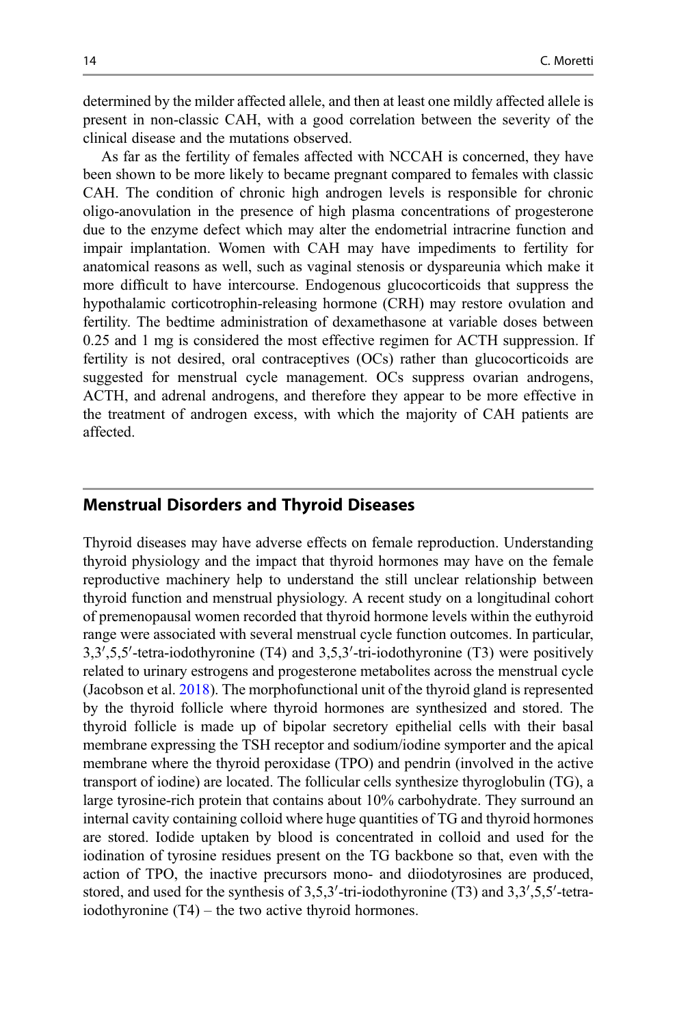determined by the milder affected allele, and then at least one mildly affected allele is present in non-classic CAH, with a good correlation between the severity of the clinical disease and the mutations observed.

As far as the fertility of females affected with NCCAH is concerned, they have been shown to be more likely to became pregnant compared to females with classic CAH. The condition of chronic high androgen levels is responsible for chronic oligo-anovulation in the presence of high plasma concentrations of progesterone due to the enzyme defect which may alter the endometrial intracrine function and impair implantation. Women with CAH may have impediments to fertility for anatomical reasons as well, such as vaginal stenosis or dyspareunia which make it more difficult to have intercourse. Endogenous glucocorticoids that suppress the hypothalamic corticotrophin-releasing hormone (CRH) may restore ovulation and fertility. The bedtime administration of dexamethasone at variable doses between 0.25 and 1 mg is considered the most effective regimen for ACTH suppression. If fertility is not desired, oral contraceptives (OCs) rather than glucocorticoids are suggested for menstrual cycle management. OCs suppress ovarian androgens, ACTH, and adrenal androgens, and therefore they appear to be more effective in the treatment of androgen excess, with which the majority of CAH patients are affected.

## Menstrual Disorders and Thyroid Diseases

Thyroid diseases may have adverse effects on female reproduction. Understanding thyroid physiology and the impact that thyroid hormones may have on the female reproductive machinery help to understand the still unclear relationship between thyroid function and menstrual physiology. A recent study on a longitudinal cohort of premenopausal women recorded that thyroid hormone levels within the euthyroid range were associated with several menstrual cycle function outcomes. In particular,  $3,3',5,5'$ -tetra-iodothyronine (T4) and  $3,5,3'$ -tri-iodothyronine (T3) were positively related to urinary estrogens and progesterone metabolites across the menstrual cycle (Jacobson et al. [2018](#page-19-0)). The morphofunctional unit of the thyroid gland is represented by the thyroid follicle where thyroid hormones are synthesized and stored. The thyroid follicle is made up of bipolar secretory epithelial cells with their basal membrane expressing the TSH receptor and sodium/iodine symporter and the apical membrane where the thyroid peroxidase (TPO) and pendrin (involved in the active transport of iodine) are located. The follicular cells synthesize thyroglobulin (TG), a large tyrosine-rich protein that contains about 10% carbohydrate. They surround an internal cavity containing colloid where huge quantities of TG and thyroid hormones are stored. Iodide uptaken by blood is concentrated in colloid and used for the iodination of tyrosine residues present on the TG backbone so that, even with the action of TPO, the inactive precursors mono- and diiodotyrosines are produced, stored, and used for the synthesis of  $3,5,3'$ -tri-iodothyronine (T3) and  $3,3',5,5'$ -tetraiodothyronine (T4) – the two active thyroid hormones.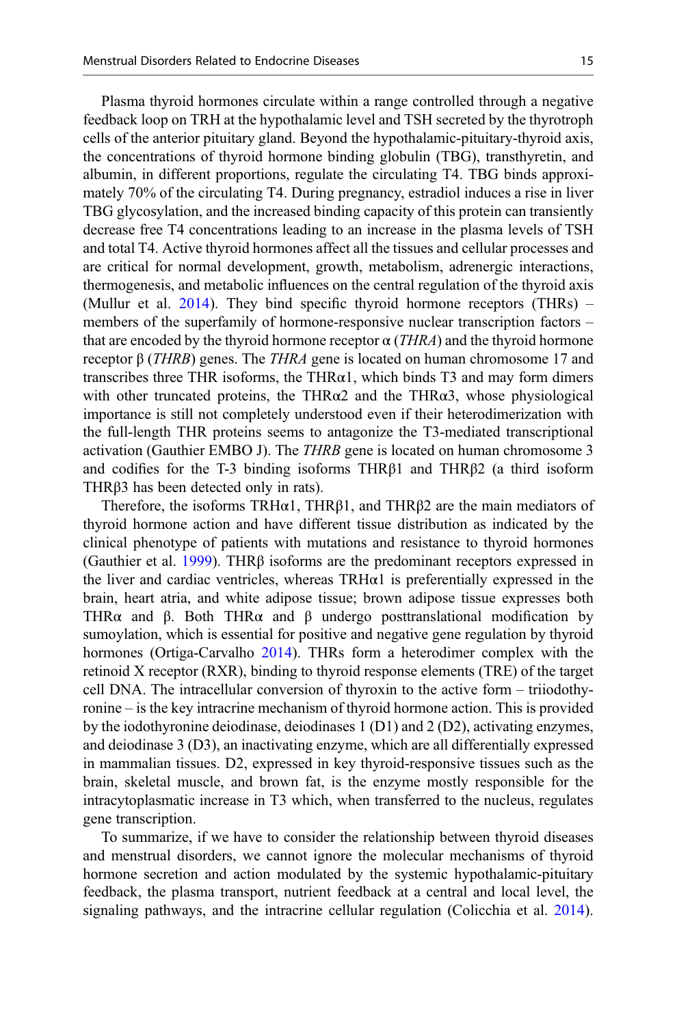Plasma thyroid hormones circulate within a range controlled through a negative feedback loop on TRH at the hypothalamic level and TSH secreted by the thyrotroph cells of the anterior pituitary gland. Beyond the hypothalamic-pituitary-thyroid axis, the concentrations of thyroid hormone binding globulin (TBG), transthyretin, and albumin, in different proportions, regulate the circulating T4. TBG binds approximately 70% of the circulating T4. During pregnancy, estradiol induces a rise in liver TBG glycosylation, and the increased binding capacity of this protein can transiently decrease free T4 concentrations leading to an increase in the plasma levels of TSH and total T4. Active thyroid hormones affect all the tissues and cellular processes and are critical for normal development, growth, metabolism, adrenergic interactions, thermogenesis, and metabolic influences on the central regulation of the thyroid axis (Mullur et al. [2014](#page-20-0)). They bind specific thyroid hormone receptors (THRs) – members of the superfamily of hormone-responsive nuclear transcription factors – that are encoded by the thyroid hormone receptor  $\alpha$  (*THRA*) and the thyroid hormone receptor β (*THRB*) genes. The *THRA* gene is located on human chromosome 17 and transcribes three THR isoforms, the THR $\alpha$ 1, which binds T3 and may form dimers with other truncated proteins, the THR $\alpha$ 2 and the THR $\alpha$ 3, whose physiological importance is still not completely understood even if their heterodimerization with the full-length THR proteins seems to antagonize the T3-mediated transcriptional activation (Gauthier EMBO J). The THRB gene is located on human chromosome 3 and codifies for the T-3 binding isoforms THR $\beta$ 1 and THR $\beta$ 2 (a third isoform THRβ3 has been detected only in rats).

Therefore, the isoforms TRHα1, THRβ1, and THRβ2 are the main mediators of thyroid hormone action and have different tissue distribution as indicated by the clinical phenotype of patients with mutations and resistance to thyroid hormones (Gauthier et al. [1999\)](#page-19-0). THRβ isoforms are the predominant receptors expressed in the liver and cardiac ventricles, whereas  $TRH\alpha1$  is preferentially expressed in the brain, heart atria, and white adipose tissue; brown adipose tissue expresses both THRα and β. Both THRα and β undergo posttranslational modification by sumoylation, which is essential for positive and negative gene regulation by thyroid hormones (Ortiga-Carvalho [2014\)](#page-20-0). THRs form a heterodimer complex with the retinoid X receptor (RXR), binding to thyroid response elements (TRE) of the target cell DNA. The intracellular conversion of thyroxin to the active form – triiodothyronine – is the key intracrine mechanism of thyroid hormone action. This is provided by the iodothyronine deiodinase, deiodinases 1 (D1) and 2 (D2), activating enzymes, and deiodinase 3 (D3), an inactivating enzyme, which are all differentially expressed in mammalian tissues. D2, expressed in key thyroid-responsive tissues such as the brain, skeletal muscle, and brown fat, is the enzyme mostly responsible for the intracytoplasmatic increase in T3 which, when transferred to the nucleus, regulates gene transcription.

To summarize, if we have to consider the relationship between thyroid diseases and menstrual disorders, we cannot ignore the molecular mechanisms of thyroid hormone secretion and action modulated by the systemic hypothalamic-pituitary feedback, the plasma transport, nutrient feedback at a central and local level, the signaling pathways, and the intracrine cellular regulation (Colicchia et al. [2014\)](#page-19-0).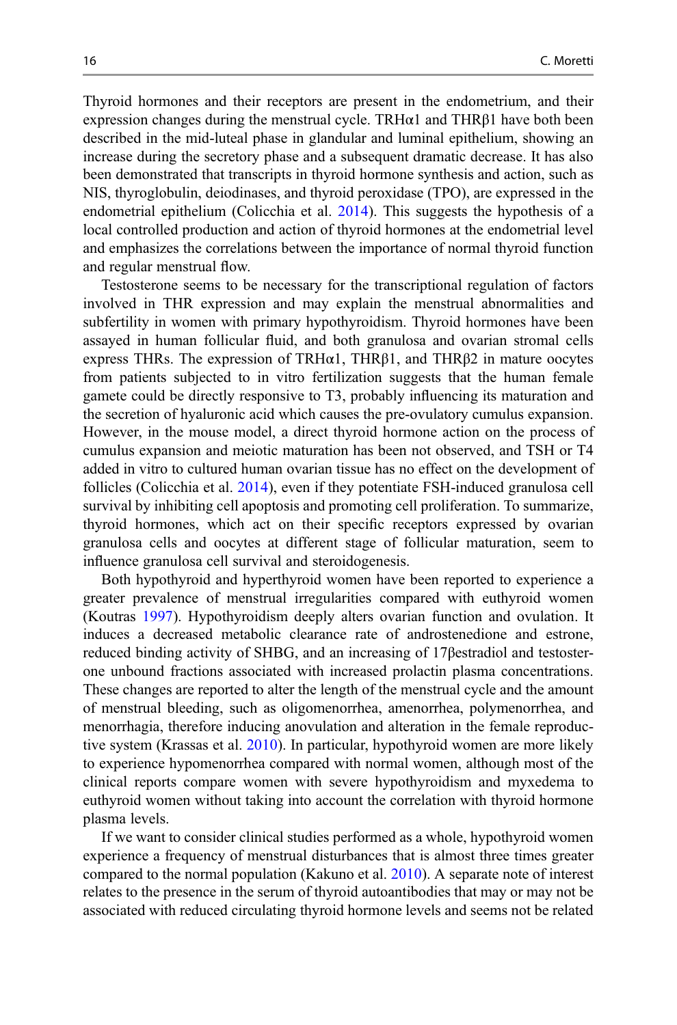Thyroid hormones and their receptors are present in the endometrium, and their expression changes during the menstrual cycle. TRH $\alpha$ 1 and THR $\beta$ 1 have both been described in the mid-luteal phase in glandular and luminal epithelium, showing an increase during the secretory phase and a subsequent dramatic decrease. It has also been demonstrated that transcripts in thyroid hormone synthesis and action, such as NIS, thyroglobulin, deiodinases, and thyroid peroxidase (TPO), are expressed in the endometrial epithelium (Colicchia et al. [2014](#page-19-0)). This suggests the hypothesis of a local controlled production and action of thyroid hormones at the endometrial level and emphasizes the correlations between the importance of normal thyroid function and regular menstrual flow.

Testosterone seems to be necessary for the transcriptional regulation of factors involved in THR expression and may explain the menstrual abnormalities and subfertility in women with primary hypothyroidism. Thyroid hormones have been assayed in human follicular fluid, and both granulosa and ovarian stromal cells express THRs. The expression of TRH $\alpha$ 1, THR $\beta$ 1, and THR $\beta$ 2 in mature oocytes from patients subjected to in vitro fertilization suggests that the human female gamete could be directly responsive to T3, probably influencing its maturation and the secretion of hyaluronic acid which causes the pre-ovulatory cumulus expansion. However, in the mouse model, a direct thyroid hormone action on the process of cumulus expansion and meiotic maturation has been not observed, and TSH or T4 added in vitro to cultured human ovarian tissue has no effect on the development of follicles (Colicchia et al. [2014](#page-19-0)), even if they potentiate FSH-induced granulosa cell survival by inhibiting cell apoptosis and promoting cell proliferation. To summarize, thyroid hormones, which act on their specific receptors expressed by ovarian granulosa cells and oocytes at different stage of follicular maturation, seem to influence granulosa cell survival and steroidogenesis.

Both hypothyroid and hyperthyroid women have been reported to experience a greater prevalence of menstrual irregularities compared with euthyroid women (Koutras [1997](#page-19-0)). Hypothyroidism deeply alters ovarian function and ovulation. It induces a decreased metabolic clearance rate of androstenedione and estrone, reduced binding activity of SHBG, and an increasing of 17βestradiol and testosterone unbound fractions associated with increased prolactin plasma concentrations. These changes are reported to alter the length of the menstrual cycle and the amount of menstrual bleeding, such as oligomenorrhea, amenorrhea, polymenorrhea, and menorrhagia, therefore inducing anovulation and alteration in the female reproductive system (Krassas et al. [2010](#page-19-0)). In particular, hypothyroid women are more likely to experience hypomenorrhea compared with normal women, although most of the clinical reports compare women with severe hypothyroidism and myxedema to euthyroid women without taking into account the correlation with thyroid hormone plasma levels.

If we want to consider clinical studies performed as a whole, hypothyroid women experience a frequency of menstrual disturbances that is almost three times greater compared to the normal population (Kakuno et al. [2010\)](#page-19-0). A separate note of interest relates to the presence in the serum of thyroid autoantibodies that may or may not be associated with reduced circulating thyroid hormone levels and seems not be related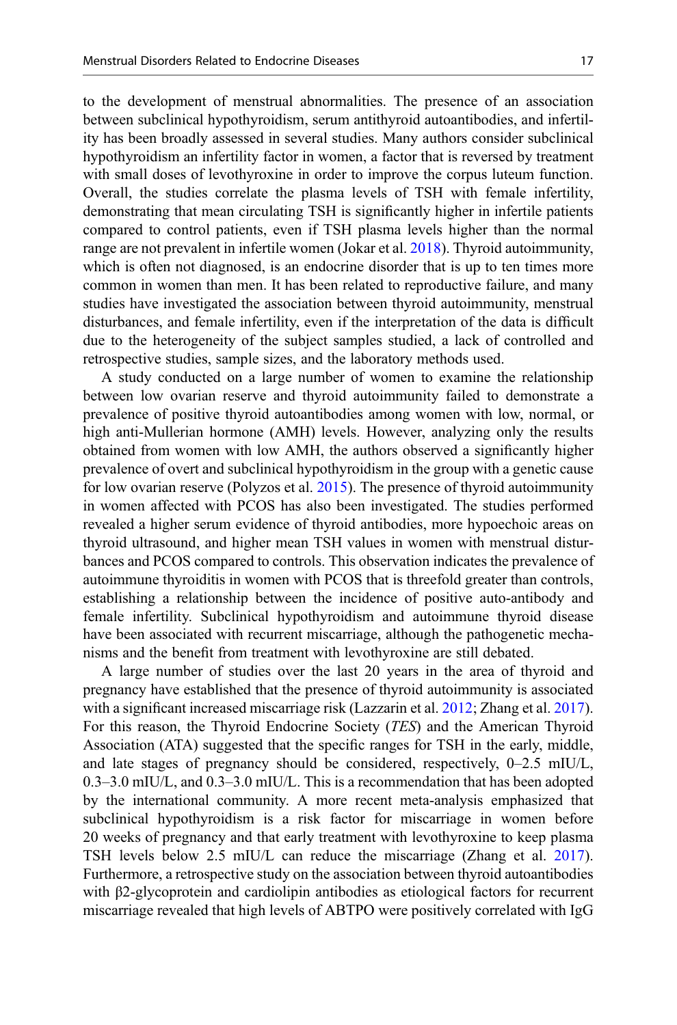to the development of menstrual abnormalities. The presence of an association between subclinical hypothyroidism, serum antithyroid autoantibodies, and infertility has been broadly assessed in several studies. Many authors consider subclinical hypothyroidism an infertility factor in women, a factor that is reversed by treatment with small doses of levothyroxine in order to improve the corpus luteum function. Overall, the studies correlate the plasma levels of TSH with female infertility, demonstrating that mean circulating TSH is significantly higher in infertile patients compared to control patients, even if TSH plasma levels higher than the normal range are not prevalent in infertile women (Jokar et al. [2018](#page-19-0)). Thyroid autoimmunity, which is often not diagnosed, is an endocrine disorder that is up to ten times more common in women than men. It has been related to reproductive failure, and many studies have investigated the association between thyroid autoimmunity, menstrual disturbances, and female infertility, even if the interpretation of the data is difficult due to the heterogeneity of the subject samples studied, a lack of controlled and retrospective studies, sample sizes, and the laboratory methods used.

A study conducted on a large number of women to examine the relationship between low ovarian reserve and thyroid autoimmunity failed to demonstrate a prevalence of positive thyroid autoantibodies among women with low, normal, or high anti-Mullerian hormone (AMH) levels. However, analyzing only the results obtained from women with low AMH, the authors observed a significantly higher prevalence of overt and subclinical hypothyroidism in the group with a genetic cause for low ovarian reserve (Polyzos et al. [2015\)](#page-20-0). The presence of thyroid autoimmunity in women affected with PCOS has also been investigated. The studies performed revealed a higher serum evidence of thyroid antibodies, more hypoechoic areas on thyroid ultrasound, and higher mean TSH values in women with menstrual disturbances and PCOS compared to controls. This observation indicates the prevalence of autoimmune thyroiditis in women with PCOS that is threefold greater than controls, establishing a relationship between the incidence of positive auto-antibody and female infertility. Subclinical hypothyroidism and autoimmune thyroid disease have been associated with recurrent miscarriage, although the pathogenetic mechanisms and the benefit from treatment with levothyroxine are still debated.

A large number of studies over the last 20 years in the area of thyroid and pregnancy have established that the presence of thyroid autoimmunity is associated with a significant increased miscarriage risk (Lazzarin et al. [2012](#page-19-0); Zhang et al. [2017\)](#page-20-0). For this reason, the Thyroid Endocrine Society (TES) and the American Thyroid Association (ATA) suggested that the specific ranges for TSH in the early, middle, and late stages of pregnancy should be considered, respectively, 0–2.5 mIU/L, 0.3–3.0 mIU/L, and 0.3–3.0 mIU/L. This is a recommendation that has been adopted by the international community. A more recent meta-analysis emphasized that subclinical hypothyroidism is a risk factor for miscarriage in women before 20 weeks of pregnancy and that early treatment with levothyroxine to keep plasma TSH levels below 2.5 mIU/L can reduce the miscarriage (Zhang et al. [2017\)](#page-20-0). Furthermore, a retrospective study on the association between thyroid autoantibodies with β2-glycoprotein and cardiolipin antibodies as etiological factors for recurrent miscarriage revealed that high levels of ABTPO were positively correlated with IgG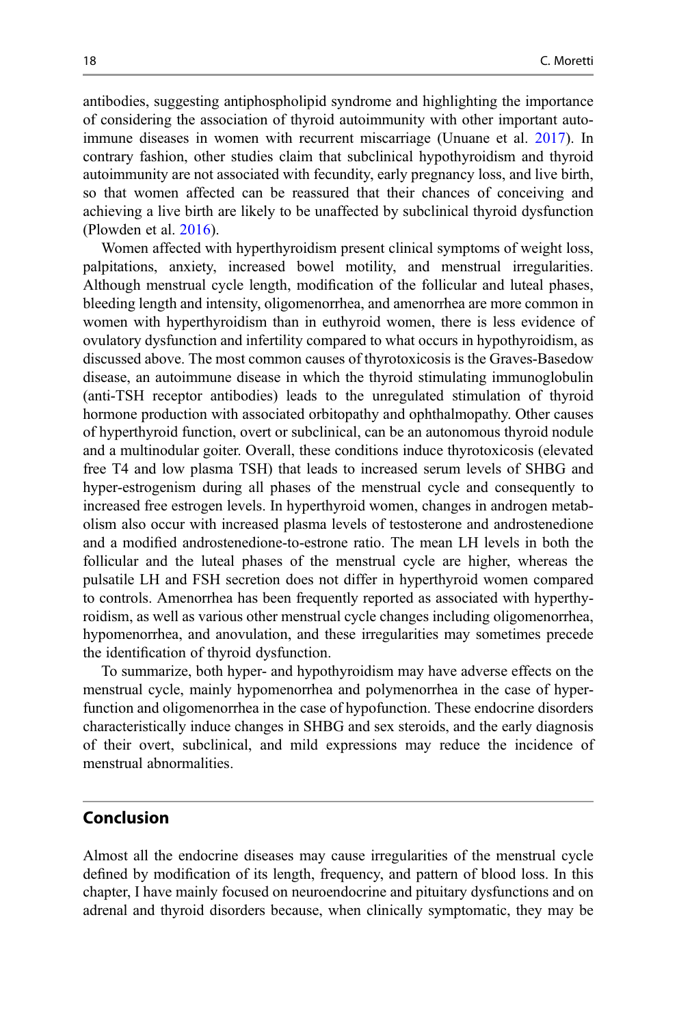antibodies, suggesting antiphospholipid syndrome and highlighting the importance of considering the association of thyroid autoimmunity with other important autoimmune diseases in women with recurrent miscarriage (Unuane et al. [2017](#page-20-0)). In contrary fashion, other studies claim that subclinical hypothyroidism and thyroid autoimmunity are not associated with fecundity, early pregnancy loss, and live birth, so that women affected can be reassured that their chances of conceiving and achieving a live birth are likely to be unaffected by subclinical thyroid dysfunction (Plowden et al. [2016\)](#page-20-0).

Women affected with hyperthyroidism present clinical symptoms of weight loss, palpitations, anxiety, increased bowel motility, and menstrual irregularities. Although menstrual cycle length, modification of the follicular and luteal phases, bleeding length and intensity, oligomenorrhea, and amenorrhea are more common in women with hyperthyroidism than in euthyroid women, there is less evidence of ovulatory dysfunction and infertility compared to what occurs in hypothyroidism, as discussed above. The most common causes of thyrotoxicosis is the Graves-Basedow disease, an autoimmune disease in which the thyroid stimulating immunoglobulin (anti-TSH receptor antibodies) leads to the unregulated stimulation of thyroid hormone production with associated orbitopathy and ophthalmopathy. Other causes of hyperthyroid function, overt or subclinical, can be an autonomous thyroid nodule and a multinodular goiter. Overall, these conditions induce thyrotoxicosis (elevated free T4 and low plasma TSH) that leads to increased serum levels of SHBG and hyper-estrogenism during all phases of the menstrual cycle and consequently to increased free estrogen levels. In hyperthyroid women, changes in androgen metabolism also occur with increased plasma levels of testosterone and androstenedione and a modified androstenedione-to-estrone ratio. The mean LH levels in both the follicular and the luteal phases of the menstrual cycle are higher, whereas the pulsatile LH and FSH secretion does not differ in hyperthyroid women compared to controls. Amenorrhea has been frequently reported as associated with hyperthyroidism, as well as various other menstrual cycle changes including oligomenorrhea, hypomenorrhea, and anovulation, and these irregularities may sometimes precede the identification of thyroid dysfunction.

To summarize, both hyper- and hypothyroidism may have adverse effects on the menstrual cycle, mainly hypomenorrhea and polymenorrhea in the case of hyperfunction and oligomenorrhea in the case of hypofunction. These endocrine disorders characteristically induce changes in SHBG and sex steroids, and the early diagnosis of their overt, subclinical, and mild expressions may reduce the incidence of menstrual abnormalities.

# Conclusion

Almost all the endocrine diseases may cause irregularities of the menstrual cycle defined by modification of its length, frequency, and pattern of blood loss. In this chapter, I have mainly focused on neuroendocrine and pituitary dysfunctions and on adrenal and thyroid disorders because, when clinically symptomatic, they may be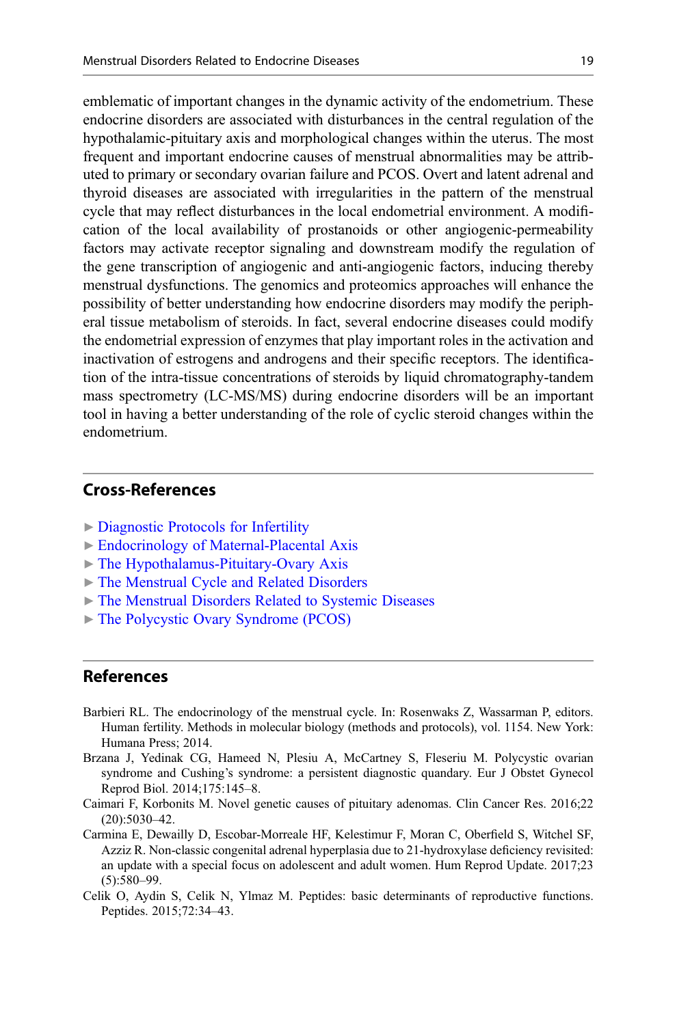<span id="page-18-0"></span>emblematic of important changes in the dynamic activity of the endometrium. These endocrine disorders are associated with disturbances in the central regulation of the hypothalamic-pituitary axis and morphological changes within the uterus. The most frequent and important endocrine causes of menstrual abnormalities may be attributed to primary or secondary ovarian failure and PCOS. Overt and latent adrenal and thyroid diseases are associated with irregularities in the pattern of the menstrual cycle that may reflect disturbances in the local endometrial environment. A modification of the local availability of prostanoids or other angiogenic-permeability factors may activate receptor signaling and downstream modify the regulation of the gene transcription of angiogenic and anti-angiogenic factors, inducing thereby menstrual dysfunctions. The genomics and proteomics approaches will enhance the possibility of better understanding how endocrine disorders may modify the peripheral tissue metabolism of steroids. In fact, several endocrine diseases could modify the endometrial expression of enzymes that play important roles in the activation and inactivation of estrogens and androgens and their specific receptors. The identification of the intra-tissue concentrations of steroids by liquid chromatography-tandem mass spectrometry (LC-MS/MS) during endocrine disorders will be an important tool in having a better understanding of the role of cyclic steroid changes within the endometrium.

#### Cross-References

- ▶ [Diagnostic Protocols for Infertility](http://link.springer.com/search?facet-eisbn=978-3-030-03594-5&facet-content-type=ReferenceWorkEntry&query=Diagnostic Protocols for Infertility)
- ▶ [Endocrinology of Maternal-Placental Axis](http://link.springer.com/search?facet-eisbn=978-3-030-03594-5&facet-content-type=ReferenceWorkEntry&query=Endocrinology of Maternal-Placental Axis)
- ▶ [The Hypothalamus-Pituitary-Ovary Axis](http://link.springer.com/search?facet-eisbn=978-3-030-03594-5&facet-content-type=ReferenceWorkEntry&query=The Hypothalamus-Pituitary-Ovary Axis)
- ▶ [The Menstrual Cycle and Related Disorders](http://link.springer.com/search?facet-eisbn=978-3-030-03594-5&facet-content-type=ReferenceWorkEntry&query=The Menstrual Cycle and Related Disorders)
- ▶ [The Menstrual Disorders Related to Systemic Diseases](http://link.springer.com/search?facet-eisbn=978-3-030-03594-5&facet-content-type=ReferenceWorkEntry&query=The Menstrual Disorders Related to Systemic Diseases)
- ▶ [The Polycystic Ovary Syndrome \(PCOS\)](http://link.springer.com/search?facet-eisbn=978-3-030-03594-5&facet-content-type=ReferenceWorkEntry&query=The Polycystic Ovary Syndrome (PCOS))

## References

- Barbieri RL. The endocrinology of the menstrual cycle. In: Rosenwaks Z, Wassarman P, editors. Human fertility. Methods in molecular biology (methods and protocols), vol. 1154. New York: Humana Press; 2014.
- Brzana J, Yedinak CG, Hameed N, Plesiu A, McCartney S, Fleseriu M. Polycystic ovarian syndrome and Cushing's syndrome: a persistent diagnostic quandary. Eur J Obstet Gynecol Reprod Biol. 2014;175:145–8.
- Caimari F, Korbonits M. Novel genetic causes of pituitary adenomas. Clin Cancer Res. 2016;22 (20):5030–42.
- Carmina E, Dewailly D, Escobar-Morreale HF, Kelestimur F, Moran C, Oberfield S, Witchel SF, Azziz R. Non-classic congenital adrenal hyperplasia due to 21-hydroxylase deficiency revisited: an update with a special focus on adolescent and adult women. Hum Reprod Update. 2017;23 (5):580–99.
- Celik O, Aydin S, Celik N, Ylmaz M. Peptides: basic determinants of reproductive functions. Peptides. 2015;72:34–43.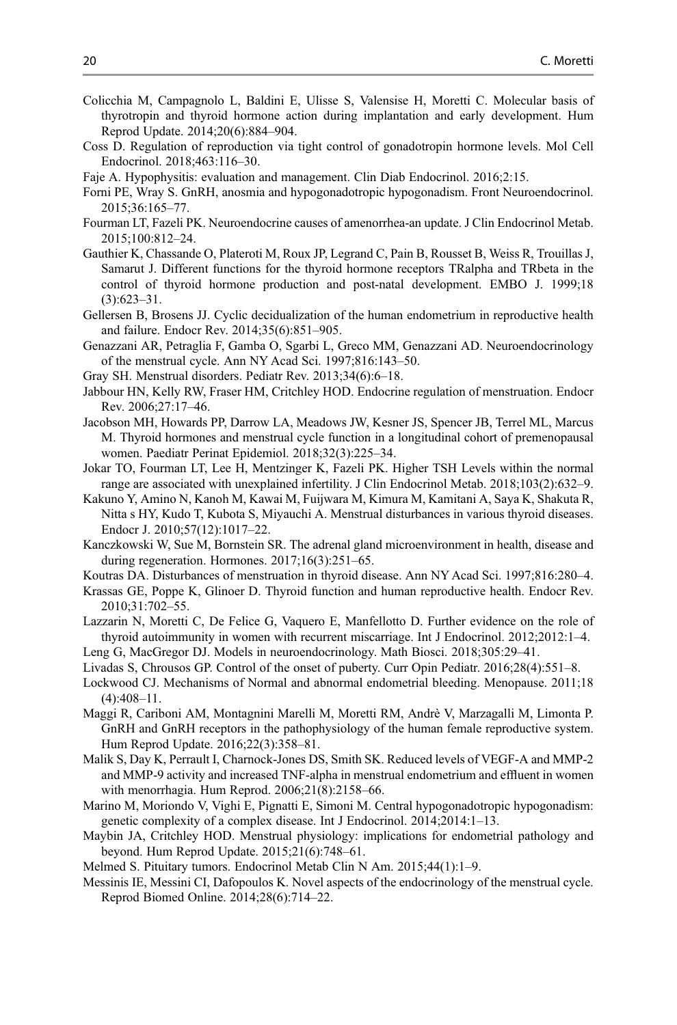- <span id="page-19-0"></span>Colicchia M, Campagnolo L, Baldini E, Ulisse S, Valensise H, Moretti C. Molecular basis of thyrotropin and thyroid hormone action during implantation and early development. Hum Reprod Update. 2014;20(6):884–904.
- Coss D. Regulation of reproduction via tight control of gonadotropin hormone levels. Mol Cell Endocrinol. 2018;463:116–30.
- Faje A. Hypophysitis: evaluation and management. Clin Diab Endocrinol. 2016;2:15.
- Forni PE, Wray S. GnRH, anosmia and hypogonadotropic hypogonadism. Front Neuroendocrinol. 2015;36:165–77.
- Fourman LT, Fazeli PK. Neuroendocrine causes of amenorrhea-an update. J Clin Endocrinol Metab. 2015;100:812–24.
- Gauthier K, Chassande O, Plateroti M, Roux JP, Legrand C, Pain B, Rousset B, Weiss R, Trouillas J, Samarut J. Different functions for the thyroid hormone receptors TRalpha and TRbeta in the control of thyroid hormone production and post-natal development. EMBO J. 1999;18 (3):623–31.
- Gellersen B, Brosens JJ. Cyclic decidualization of the human endometrium in reproductive health and failure. Endocr Rev. 2014;35(6):851–905.
- Genazzani AR, Petraglia F, Gamba O, Sgarbi L, Greco MM, Genazzani AD. Neuroendocrinology of the menstrual cycle. Ann NY Acad Sci. 1997;816:143–50.
- Gray SH. Menstrual disorders. Pediatr Rev. 2013;34(6):6–18.
- Jabbour HN, Kelly RW, Fraser HM, Critchley HOD. Endocrine regulation of menstruation. Endocr Rev. 2006;27:17–46.
- Jacobson MH, Howards PP, Darrow LA, Meadows JW, Kesner JS, Spencer JB, Terrel ML, Marcus M. Thyroid hormones and menstrual cycle function in a longitudinal cohort of premenopausal women. Paediatr Perinat Epidemiol. 2018;32(3):225–34.
- Jokar TO, Fourman LT, Lee H, Mentzinger K, Fazeli PK. Higher TSH Levels within the normal range are associated with unexplained infertility. J Clin Endocrinol Metab. 2018;103(2):632–9.
- Kakuno Y, Amino N, Kanoh M, Kawai M, Fuijwara M, Kimura M, Kamitani A, Saya K, Shakuta R, Nitta s HY, Kudo T, Kubota S, Miyauchi A. Menstrual disturbances in various thyroid diseases. Endocr J. 2010;57(12):1017–22.
- Kanczkowski W, Sue M, Bornstein SR. The adrenal gland microenvironment in health, disease and during regeneration. Hormones. 2017;16(3):251–65.
- Koutras DA. Disturbances of menstruation in thyroid disease. Ann NY Acad Sci. 1997;816:280–4.
- Krassas GE, Poppe K, Glinoer D. Thyroid function and human reproductive health. Endocr Rev. 2010;31:702–55.
- Lazzarin N, Moretti C, De Felice G, Vaquero E, Manfellotto D. Further evidence on the role of thyroid autoimmunity in women with recurrent miscarriage. Int J Endocrinol. 2012;2012:1–4.
- Leng G, MacGregor DJ. Models in neuroendocrinology. Math Biosci. 2018;305:29–41.
- Livadas S, Chrousos GP. Control of the onset of puberty. Curr Opin Pediatr. 2016;28(4):551–8.
- Lockwood CJ. Mechanisms of Normal and abnormal endometrial bleeding. Menopause. 2011;18  $(4):408-11.$
- Maggi R, Cariboni AM, Montagnini Marelli M, Moretti RM, Andrè V, Marzagalli M, Limonta P. GnRH and GnRH receptors in the pathophysiology of the human female reproductive system. Hum Reprod Update. 2016;22(3):358–81.
- Malik S, Day K, Perrault I, Charnock-Jones DS, Smith SK. Reduced levels of VEGF-A and MMP-2 and MMP-9 activity and increased TNF-alpha in menstrual endometrium and effluent in women with menorrhagia. Hum Reprod. 2006;21(8):2158–66.
- Marino M, Moriondo V, Vighi E, Pignatti E, Simoni M. Central hypogonadotropic hypogonadism: genetic complexity of a complex disease. Int J Endocrinol. 2014;2014:1–13.
- Maybin JA, Critchley HOD. Menstrual physiology: implications for endometrial pathology and beyond. Hum Reprod Update. 2015;21(6):748–61.
- Melmed S. Pituitary tumors. Endocrinol Metab Clin N Am. 2015;44(1):1–9.
- Messinis IE, Messini CI, Dafopoulos K. Novel aspects of the endocrinology of the menstrual cycle. Reprod Biomed Online. 2014;28(6):714–22.